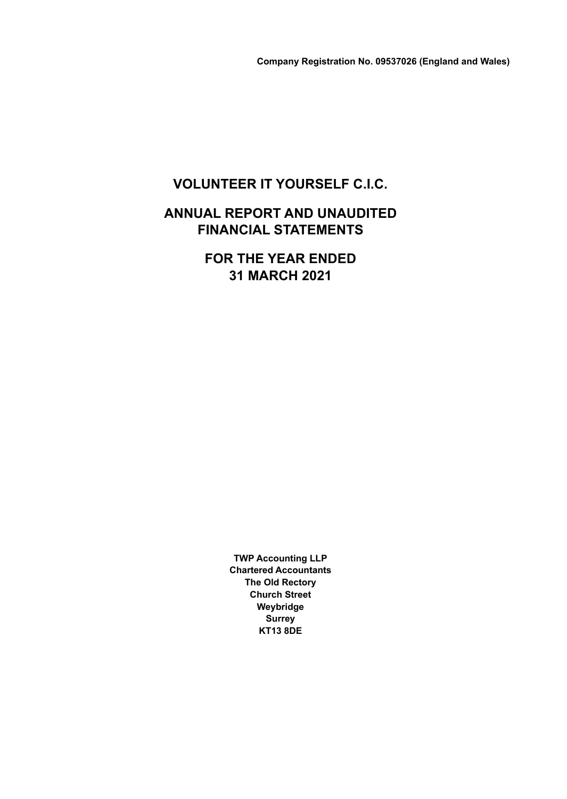### **ANNUAL REPORT AND UNAUDITED FINANCIAL STATEMENTS**

**FOR THE YEAR ENDED 31 MARCH 2021** 

> **TWP Accounting LLP Chartered Accountants The Old Rectory Church Street Weybridge Surrey KT13 8DE**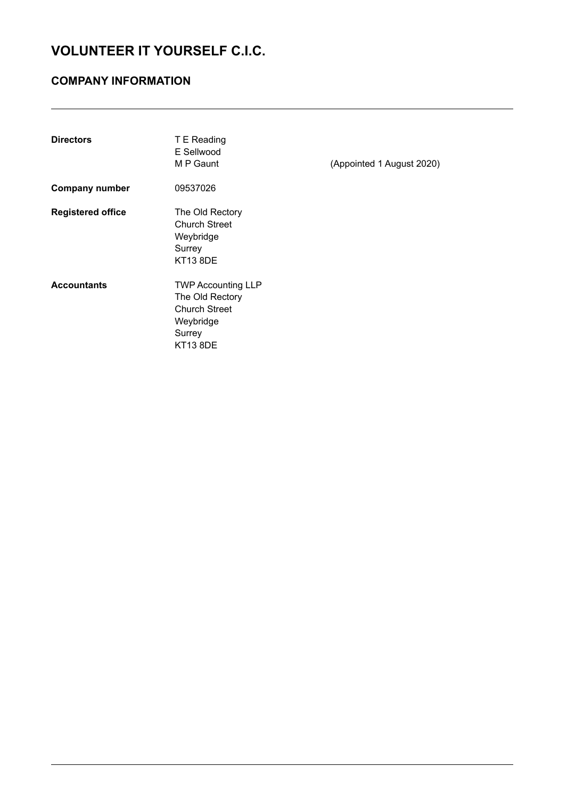### **COMPANY INFORMATION**

| <b>Directors</b>         | T E Reading<br>E Sellwood<br>M P Gaunt                                                                         | (Appointed 1 August 2020) |
|--------------------------|----------------------------------------------------------------------------------------------------------------|---------------------------|
| <b>Company number</b>    | 09537026                                                                                                       |                           |
| <b>Registered office</b> | The Old Rectory<br><b>Church Street</b><br>Weybridge<br>Surrey<br><b>KT13 8DE</b>                              |                           |
| <b>Accountants</b>       | <b>TWP Accounting LLP</b><br>The Old Rectory<br><b>Church Street</b><br>Weybridge<br>Surrey<br><b>KT13 8DE</b> |                           |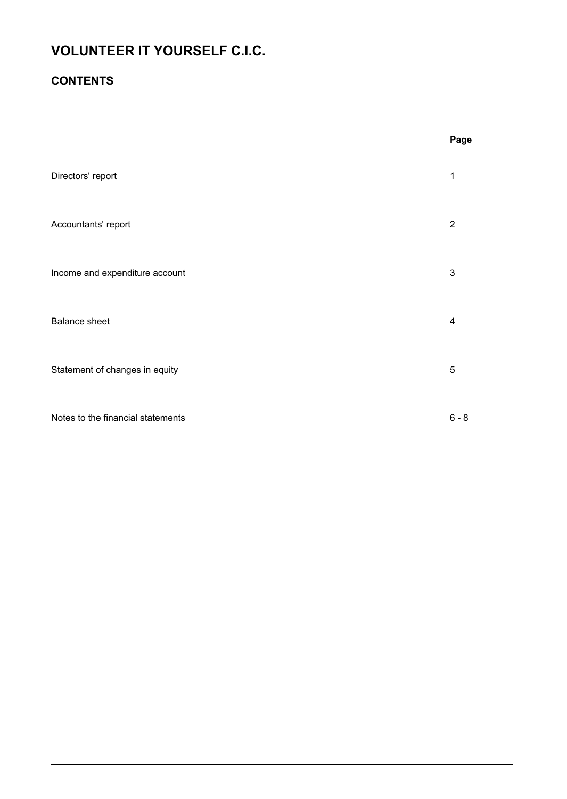### **CONTENTS**

|                                   | Page                      |
|-----------------------------------|---------------------------|
| Directors' report                 | 1                         |
| Accountants' report               | $\overline{2}$            |
| Income and expenditure account    | $\ensuremath{\mathsf{3}}$ |
| <b>Balance sheet</b>              | 4                         |
| Statement of changes in equity    | $\sqrt{5}$                |
| Notes to the financial statements | $6 - 8$                   |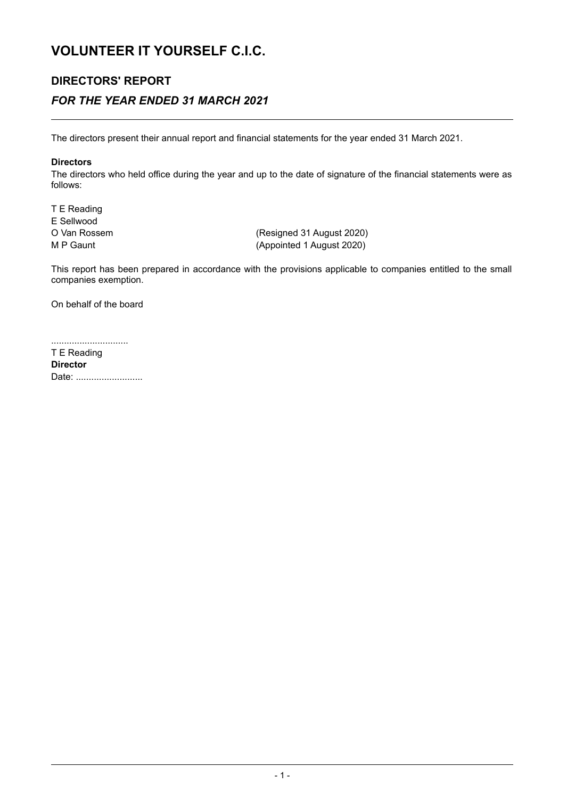## **DIRECTORS' REPORT**  *FOR THE YEAR ENDED 31 MARCH 2021*

The directors present their annual report and financial statements for the year ended 31 March 2021.

#### **Directors**

The directors who held office during the year and up to the date of signature of the financial statements were as follows:

T E Reading E Sellwood<br>O Van Rossem

O Van Rossem (Resigned 31 August 2020)<br>M P Gaunt (Appointed 1 August 2020) (Appointed 1 August 2020)

This report has been prepared in accordance with the provisions applicable to companies entitled to the small companies exemption.

On behalf of the board

..............................

T E Reading **Director**  Date: ...........................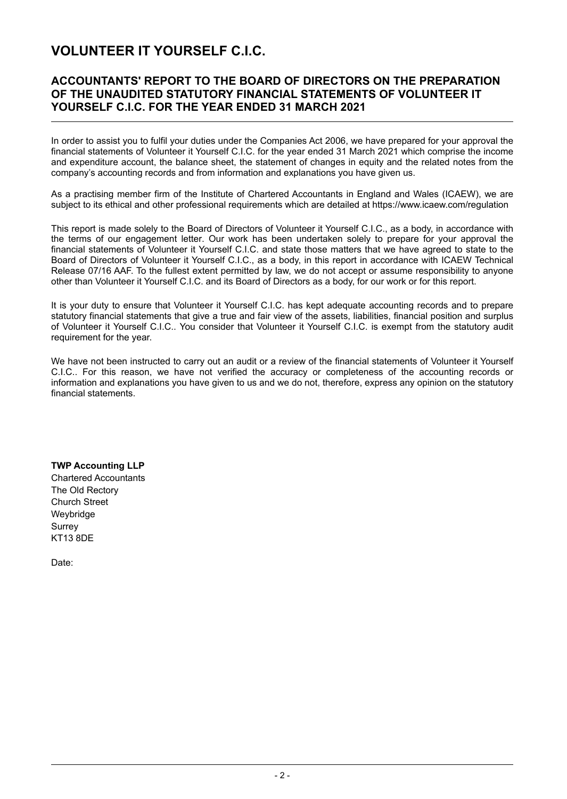### **ACCOUNTANTS' REPORT TO THE BOARD OF DIRECTORS ON THE PREPARATION OF THE UNAUDITED STATUTORY FINANCIAL STATEMENTS OF VOLUNTEER IT YOURSELF C.I.C. FOR THE YEAR ENDED 31 MARCH 2021**

In order to assist you to fulfil your duties under the Companies Act 2006, we have prepared for your approval the financial statements of Volunteer it Yourself C.I.C. for the year ended 31 March 2021 which comprise the income and expenditure account, the balance sheet, the statement of changes in equity and the related notes from the company's accounting records and from information and explanations you have given us.

As a practising member firm of the Institute of Chartered Accountants in England and Wales (ICAEW), we are subject to its ethical and other professional requirements which are detailed at https://www.icaew.com/regulation

This report is made solely to the Board of Directors of Volunteer it Yourself C.I.C., as a body, in accordance with the terms of our engagement letter. Our work has been undertaken solely to prepare for your approval the financial statements of Volunteer it Yourself C.I.C. and state those matters that we have agreed to state to the Board of Directors of Volunteer it Yourself C.I.C., as a body, in this report in accordance with ICAEW Technical Release 07/16 AAF. To the fullest extent permitted by law, we do not accept or assume responsibility to anyone other than Volunteer it Yourself C.I.C. and its Board of Directors as a body, for our work or for this report.

It is your duty to ensure that Volunteer it Yourself C.I.C. has kept adequate accounting records and to prepare statutory financial statements that give a true and fair view of the assets, liabilities, financial position and surplus of Volunteer it Yourself C.I.C.. You consider that Volunteer it Yourself C.I.C. is exempt from the statutory audit requirement for the year.

We have not been instructed to carry out an audit or a review of the financial statements of Volunteer it Yourself C.I.C.. For this reason, we have not verified the accuracy or completeness of the accounting records or information and explanations you have given to us and we do not, therefore, express any opinion on the statutory financial statements.

**TWP Accounting LLP** 

Chartered Accountants The Old Rectory Church Street Weybridge Surrey KT13 8DE

Date: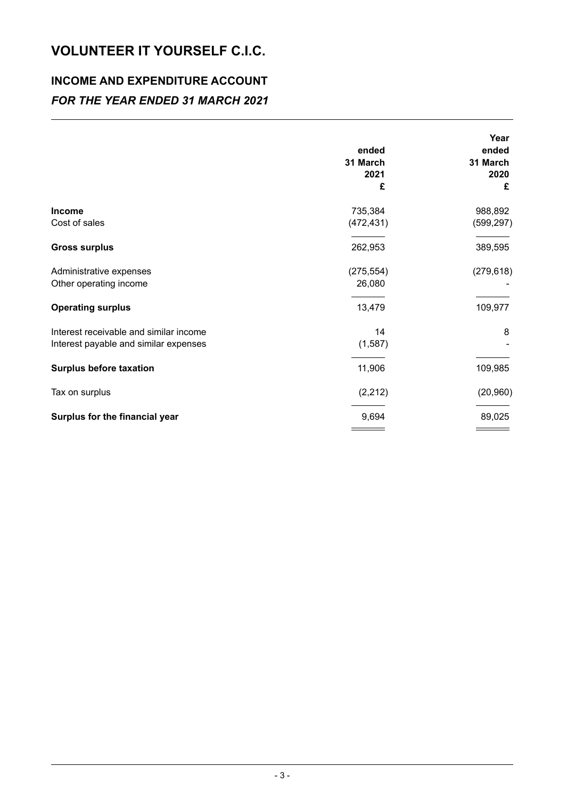# **INCOME AND EXPENDITURE ACCOUNT**  *FOR THE YEAR ENDED 31 MARCH 2021*

|                                        | ended<br>31 March<br>2021<br>£ | Year<br>ended<br>31 March<br>2020<br>£ |
|----------------------------------------|--------------------------------|----------------------------------------|
| <b>Income</b>                          | 735,384                        | 988,892                                |
| Cost of sales                          | (472, 431)                     | (599, 297)                             |
| <b>Gross surplus</b>                   | 262,953                        | 389,595                                |
| Administrative expenses                | (275, 554)                     | (279, 618)                             |
| Other operating income                 | 26,080                         |                                        |
| <b>Operating surplus</b>               | 13,479                         | 109,977                                |
| Interest receivable and similar income | 14                             | 8                                      |
| Interest payable and similar expenses  | (1,587)                        |                                        |
| <b>Surplus before taxation</b>         | 11,906                         | 109,985                                |
| Tax on surplus                         | (2, 212)                       | (20, 960)                              |
| Surplus for the financial year         | 9,694                          | 89,025                                 |
|                                        |                                |                                        |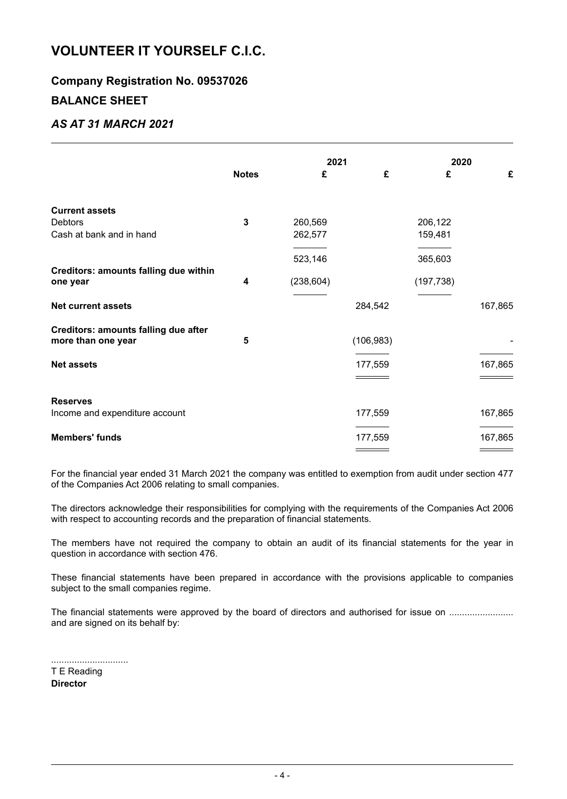### **Company Registration No. 09537026**

### **BALANCE SHEET**

### *AS AT 31 MARCH 2021*

|                                                                   |              | 2021       |            | 2020       |         |
|-------------------------------------------------------------------|--------------|------------|------------|------------|---------|
|                                                                   | <b>Notes</b> | £          | £          | £          | £       |
| <b>Current assets</b>                                             |              |            |            |            |         |
| <b>Debtors</b>                                                    | $\mathbf{3}$ | 260,569    |            | 206,122    |         |
| Cash at bank and in hand                                          |              | 262,577    |            | 159,481    |         |
|                                                                   |              | 523,146    |            | 365,603    |         |
| Creditors: amounts falling due within<br>one year                 | 4            | (238, 604) |            | (197, 738) |         |
| <b>Net current assets</b>                                         |              |            | 284,542    |            | 167,865 |
| <b>Creditors: amounts falling due after</b><br>more than one year | 5            |            | (106, 983) |            |         |
| <b>Net assets</b>                                                 |              |            | 177,559    |            | 167,865 |
|                                                                   |              |            |            |            |         |
| <b>Reserves</b>                                                   |              |            |            |            |         |
| Income and expenditure account                                    |              |            | 177,559    |            | 167,865 |
| <b>Members' funds</b>                                             |              |            | 177,559    |            | 167,865 |

For the financial year ended 31 March 2021 the company was entitled to exemption from audit under section 477 of the Companies Act 2006 relating to small companies.

The directors acknowledge their responsibilities for complying with the requirements of the Companies Act 2006 with respect to accounting records and the preparation of financial statements.

The members have not required the company to obtain an audit of its financial statements for the year in question in accordance with section 476.

These financial statements have been prepared in accordance with the provisions applicable to companies subject to the small companies regime.

The financial statements were approved by the board of directors and authorised for issue on ....................... and are signed on its behalf by:

.............................. T E Reading

**Director**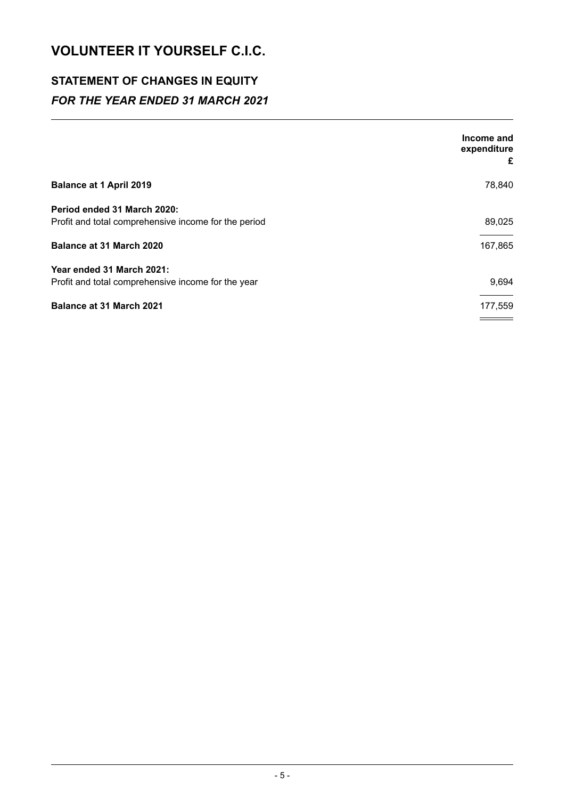# **STATEMENT OF CHANGES IN EQUITY**  *FOR THE YEAR ENDED 31 MARCH 2021*

| Income and<br>expenditure<br>£ |
|--------------------------------|
| 78,840                         |
|                                |
| 89,025                         |
| 167,865                        |
|                                |
| 9,694                          |
| 177,559                        |
|                                |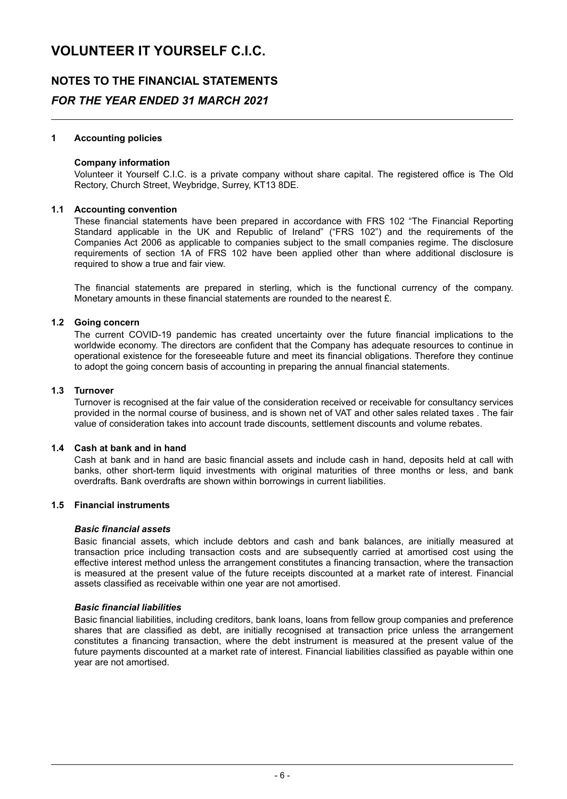### **NOTES TO THE FINANCIAL STATEMENTS**  *FOR THE YEAR ENDED 31 MARCH 2021*

#### **1 Accounting policies**

#### **Company information**

Volunteer it Yourself C.I.C. is a private company without share capital . The registered office is The Old Rectory, Church Street, Weybridge, Surrey, KT13 8DE.

#### **1.1 Accounting convention**

These financial statements have been prepared in accordance with FRS 102 "The Financial Reporting Standard applicable in the UK and Republic of Ireland" ("FRS 102") and the requirements of the Companies Act 2006 as applicable to companies subject to the small companies regime. The disclosure requirements of section 1A of FRS 102 have been applied other than where additional disclosure is required to show a true and fair view.

The financial statements are prepared in sterling, which is the functional currency of the company. Monetary amounts in these financial statements are rounded to the nearest £.

#### **1.2 Going concern**

The current COVID-19 pandemic has created uncertainty over the future financial implications to the worldwide economy. The directors are confident that the Company has adequate resources to continue in operational existence for the foreseeable future and meet its financial obligations. Therefore they continue to adopt the going concern basis of accounting in preparing the annual financial statements.

#### **1.3 Turnover**

Turnover is recognised at the fair value of the consideration received or receivable for consultancy services provided in the normal course of business, and is shown net of VAT and other sales related taxes. The fair value of consideration takes into account trade discounts, settlement discounts and volume rebates.

#### **1.4 Cash at bank and in hand**

Cash at bank and in hand are basic financial assets and include cash in hand, deposits held at call with banks, other short-term liquid investments with original maturities of three months or less, and bank overdrafts. Bank overdrafts are shown within borrowings in current liabilities.

#### **1.5 Financial instruments**

#### *Basic financial assets*

Basic financial assets, which include debtors and cash and bank balances, are initially measured at transaction price including transaction costs and are subsequently carried at amortised cost using the effective interest method unless the arrangement constitutes a financing transaction, where the transaction is measured at the present value of the future receipts discounted at a market rate of interest. Financial assets classified as receivable within one year are not amortised.

#### *Basic financial liabilities*

Basic financial liabilities, including creditors , bank loans, loans from fellow group companies and preference shares that are classified as debt, are initially recognised at transaction price unless the arrangement constitutes a financing transaction, where the debt instrument is measured at the present value of the future payments discounted at a market rate of interest. Financial liabilities classified as payable within one year are not amortised.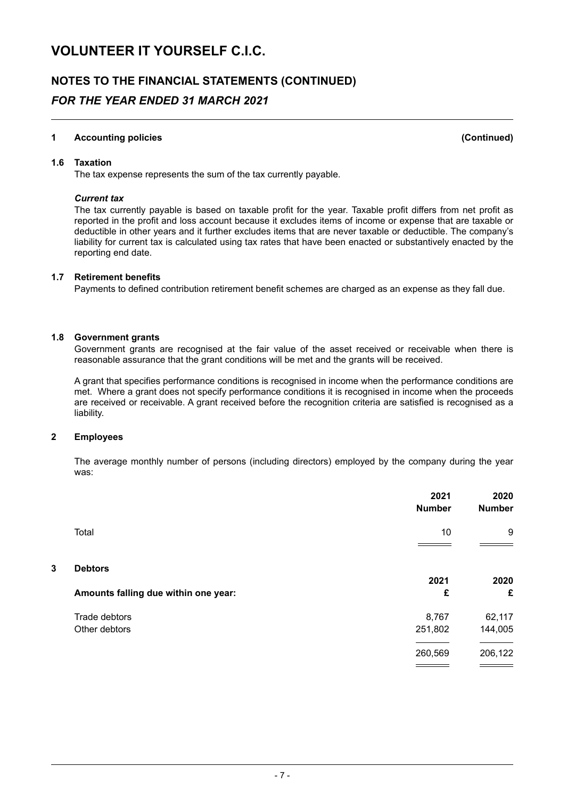## **NOTES TO THE FINANCIAL STATEMENTS (CONTINUED)**  *FOR THE YEAR ENDED 31 MARCH 2021*

#### **1 Accounting policies (Continued)**

#### **1.6 Taxation**

The tax expense represents the sum of the tax currently payable.

#### *Current tax*

The tax currently payable is based on taxable profit for the year. Taxable profit differs from net profit as reported in the profit and loss account because it excludes items of income or expense that are taxable or deductible in other years and it further excludes items that are never taxable or deductible. The company's liability for current tax is calculated using tax rates that have been enacted or substantively enacted by the reporting end date.

#### **1.7 Retirement benefits**

Payments to defined contribution retirement benefit schemes are charged as an expense as they fall due.

#### **1.8 Government grants**

Government grants are recognised at the fair value of the asset received or receivable when there is reasonable assurance that the grant conditions will be met and the grants will be received.

A grant that specifies performance conditions is recognised in income when the performance conditions are met. Where a grant does not specify performance conditions it is recognised in income when the proceeds are received or receivable . A grant received before the recognition criteria are satisfied is recognised as a liability.

#### **2 Employees**

The average monthly number of persons (including directors) employed by the company during the year was:

|   |                                      | 2021<br><b>Number</b> | 2020<br><b>Number</b> |
|---|--------------------------------------|-----------------------|-----------------------|
|   | Total                                | 10                    | 9                     |
|   |                                      |                       |                       |
| 3 | <b>Debtors</b>                       |                       |                       |
|   | Amounts falling due within one year: | 2021<br>£             | 2020<br>£             |
|   | Trade debtors                        | 8,767                 | 62,117                |
|   | Other debtors                        | 251,802               | 144,005               |
|   |                                      | 260,569               | 206,122               |
|   |                                      |                       |                       |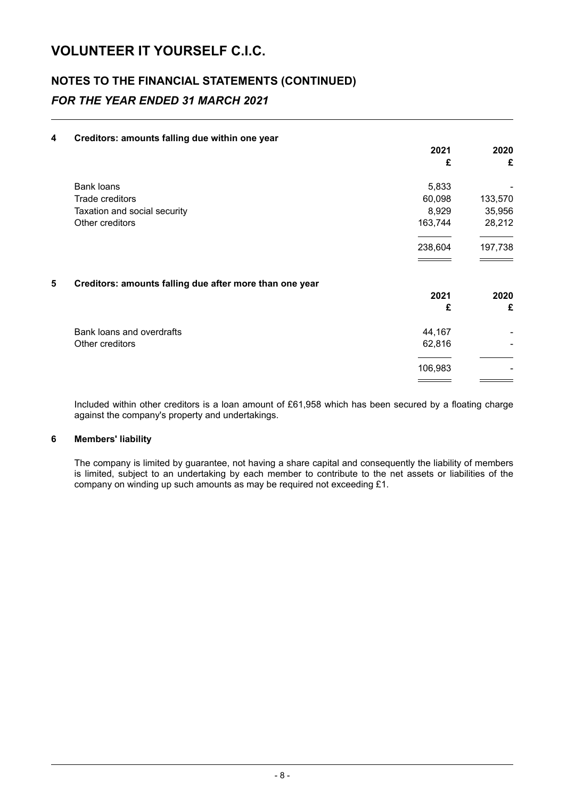# **NOTES TO THE FINANCIAL STATEMENTS (CONTINUED)**  *FOR THE YEAR ENDED 31 MARCH 2021*

#### **4 Creditors: amounts falling due within one year**

|   |                                                         | 2021    | 2020    |
|---|---------------------------------------------------------|---------|---------|
|   |                                                         | £       | £       |
|   | <b>Bank loans</b>                                       | 5,833   |         |
|   | Trade creditors                                         | 60,098  | 133,570 |
|   | Taxation and social security                            | 8,929   | 35,956  |
|   | Other creditors                                         | 163,744 | 28,212  |
|   |                                                         | 238,604 | 197,738 |
| 5 | Creditors: amounts falling due after more than one year |         |         |
|   |                                                         | 2021    | 2020    |
|   |                                                         | £       | £       |
|   | Bank loans and overdrafts                               | 44,167  |         |
|   | Other creditors                                         | 62,816  |         |
|   |                                                         | 106,983 |         |
|   |                                                         |         |         |

Included within other creditors is a loan amount of £61,958 which has been secured by a floating charge against the company's property and undertakings.

#### **6 Members' liability**

The company is limited by guarantee, not having a share capital and consequently the liability of members is limited, subject to an undertaking by each member to contribute to the net assets or liabilities of the company on winding up such amounts as may be required not exceeding £1.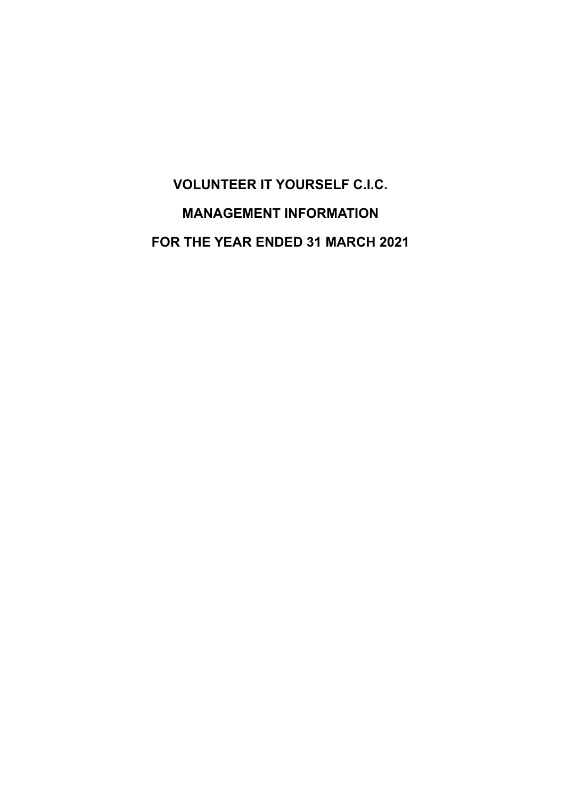# **VOLUNTEER IT YOURSELF C.I.C. MANAGEMENT INFORMATION FOR THE YEAR ENDED 31 MARCH 2021**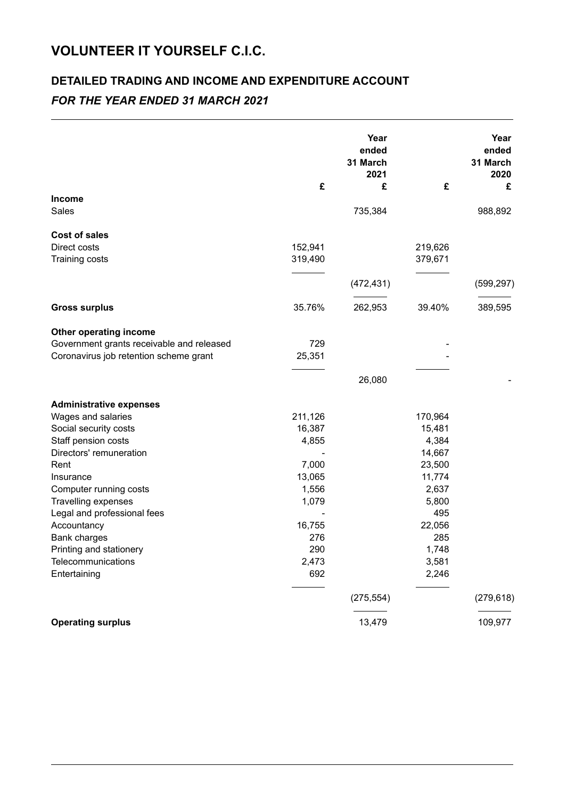# **DETAILED TRADING AND INCOME AND EXPENDITURE ACCOUNT**  *FOR THE YEAR ENDED 31 MARCH 2021*

|                                                                                                                                                                                                                                                                                                                                                    | £                                                                                                       | Year<br>ended<br>31 March<br>2021<br>£ | £                                                                                                                             | Year<br>ended<br>31 March<br>2020<br>£ |
|----------------------------------------------------------------------------------------------------------------------------------------------------------------------------------------------------------------------------------------------------------------------------------------------------------------------------------------------------|---------------------------------------------------------------------------------------------------------|----------------------------------------|-------------------------------------------------------------------------------------------------------------------------------|----------------------------------------|
| Income<br>Sales                                                                                                                                                                                                                                                                                                                                    |                                                                                                         | 735,384                                |                                                                                                                               | 988,892                                |
| <b>Cost of sales</b><br>Direct costs<br>Training costs                                                                                                                                                                                                                                                                                             | 152,941<br>319,490                                                                                      |                                        | 219,626<br>379,671                                                                                                            |                                        |
|                                                                                                                                                                                                                                                                                                                                                    |                                                                                                         | (472, 431)                             |                                                                                                                               | (599, 297)                             |
| <b>Gross surplus</b>                                                                                                                                                                                                                                                                                                                               | 35.76%                                                                                                  | 262,953                                | 39.40%                                                                                                                        | 389,595                                |
| Other operating income<br>Government grants receivable and released<br>Coronavirus job retention scheme grant                                                                                                                                                                                                                                      | 729<br>25,351                                                                                           | 26,080                                 |                                                                                                                               |                                        |
| <b>Administrative expenses</b><br>Wages and salaries<br>Social security costs<br>Staff pension costs<br>Directors' remuneration<br>Rent<br>Insurance<br>Computer running costs<br><b>Travelling expenses</b><br>Legal and professional fees<br>Accountancy<br><b>Bank charges</b><br>Printing and stationery<br>Telecommunications<br>Entertaining | 211,126<br>16,387<br>4,855<br>7,000<br>13,065<br>1,556<br>1,079<br>16,755<br>276<br>290<br>2,473<br>692 |                                        | 170,964<br>15,481<br>4,384<br>14,667<br>23,500<br>11,774<br>2,637<br>5,800<br>495<br>22,056<br>285<br>1,748<br>3,581<br>2,246 |                                        |
|                                                                                                                                                                                                                                                                                                                                                    |                                                                                                         | (275, 554)                             |                                                                                                                               | (279, 618)                             |
| <b>Operating surplus</b>                                                                                                                                                                                                                                                                                                                           |                                                                                                         | 13,479                                 |                                                                                                                               | 109,977                                |